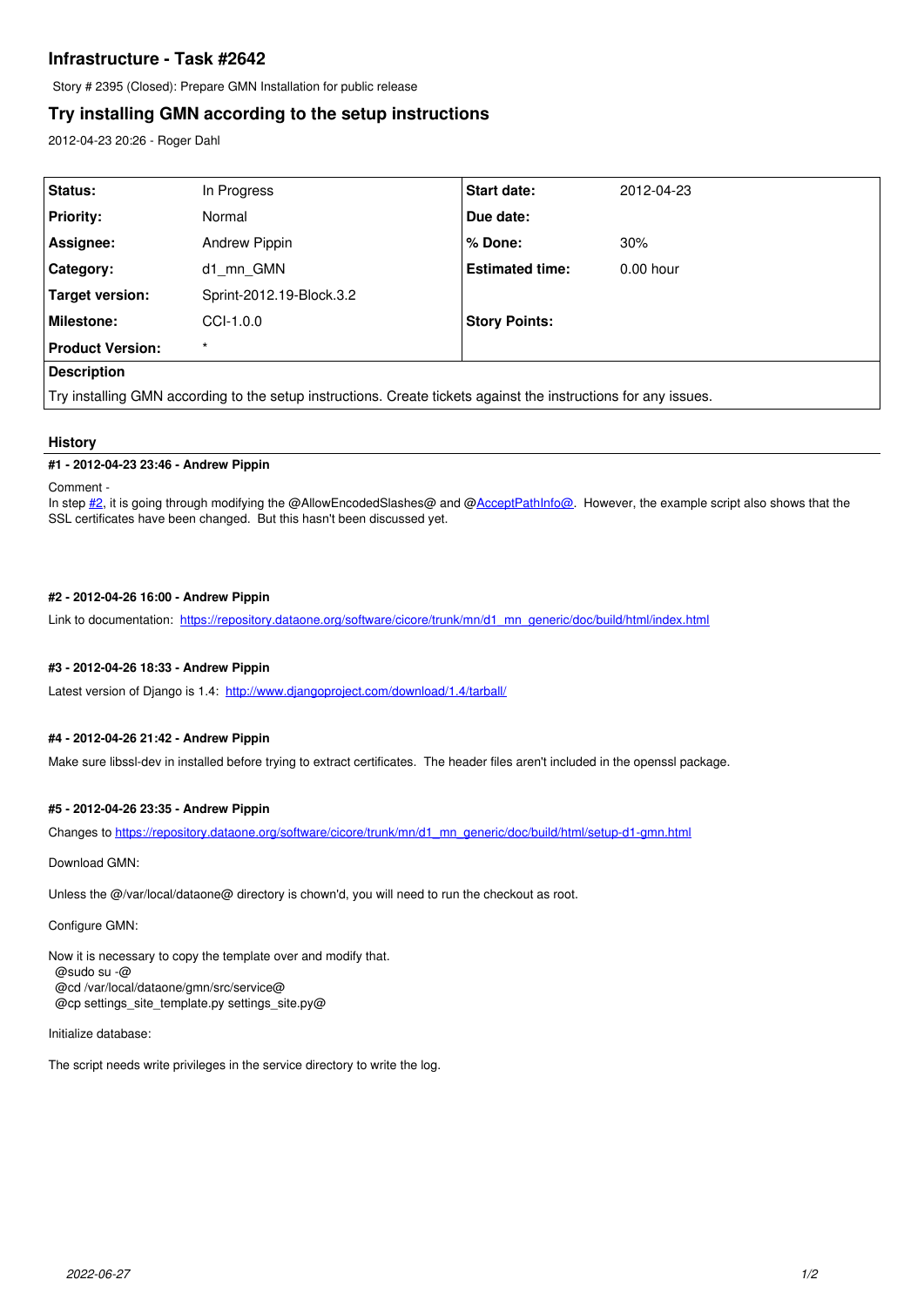# **Infrastructure - Task #2642**

Story # 2395 (Closed): Prepare GMN Installation for public release

# **Try installing GMN according to the setup instructions**

2012-04-23 20:26 - Roger Dahl

| Status:                                                                                                         | In Progress              | <b>Start date:</b>     | 2012-04-23  |
|-----------------------------------------------------------------------------------------------------------------|--------------------------|------------------------|-------------|
| <b>Priority:</b>                                                                                                | Normal                   | Due date:              |             |
| Assignee:                                                                                                       | Andrew Pippin            | % Done:                | 30%         |
| <b>Category:</b>                                                                                                | d1 mn GMN                | <b>Estimated time:</b> | $0.00$ hour |
| Target version:                                                                                                 | Sprint-2012.19-Block.3.2 |                        |             |
| Milestone:                                                                                                      | $CCL-1.0.0$              | <b>Story Points:</b>   |             |
| <b>Product Version:</b>                                                                                         | $\star$                  |                        |             |
| <b>Description</b>                                                                                              |                          |                        |             |
| Try installing GMN according to the setup instructions. Create tickets against the instructions for any issues. |                          |                        |             |

## **History**

#### **#1 - 2012-04-23 23:46 - Andrew Pippin**

#### Comment -

In step [#2](https://redmine.dataone.org/issues/2), it is going through modifying the @AllowEncodedSlashes@ and [@AcceptPathInfo@.](mailto:AcceptPathInfo@) However, the example script also shows that the SSL certificates have been changed. But this hasn't been discussed yet.

## **#2 - 2012-04-26 16:00 - Andrew Pippin**

Link to documentation: [https://repository.dataone.org/software/cicore/trunk/mn/d1\\_mn\\_generic/doc/build/html/index.html](https://repository.dataone.org/software/cicore/trunk/mn/d1_mn_generic/doc/build/html/index.html)

## **#3 - 2012-04-26 18:33 - Andrew Pippin**

Latest version of Django is 1.4: <http://www.djangoproject.com/download/1.4/tarball/>

## **#4 - 2012-04-26 21:42 - Andrew Pippin**

Make sure libssl-dev in installed before trying to extract certificates. The header files aren't included in the openssl package.

## **#5 - 2012-04-26 23:35 - Andrew Pippin**

Changes to [https://repository.dataone.org/software/cicore/trunk/mn/d1\\_mn\\_generic/doc/build/html/setup-d1-gmn.html](https://repository.dataone.org/software/cicore/trunk/mn/d1_mn_generic/doc/build/html/setup-d1-gmn.html)

Download GMN:

Unless the @/var/local/dataone@ directory is chown'd, you will need to run the checkout as root.

Configure GMN:

Now it is necessary to copy the template over and modify that. @sudo su -@ @cd /var/local/dataone/gmn/src/service@ @cp settings\_site\_template.py settings\_site.py@

#### Initialize database:

The script needs write privileges in the service directory to write the log.